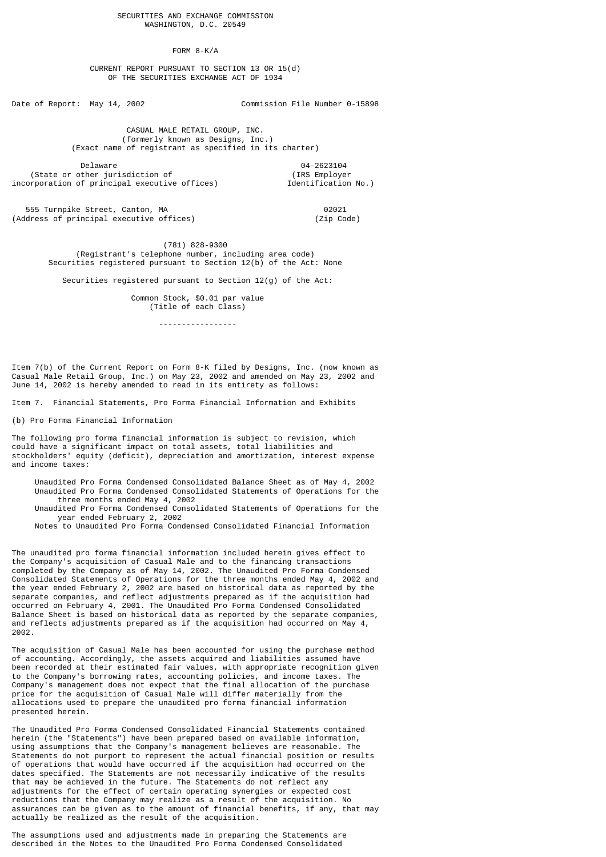FORM 8-K/A

## CURRENT REPORT PURSUANT TO SECTION 13 OR 15(d) OF THE SECURITIES EXCHANGE ACT OF 1934

Date of Report: May 14, 2002 Commission File Number 0-15898

 CASUAL MALE RETAIL GROUP, INC. (formerly known as Designs, Inc.) (Exact name of registrant as specified in its charter)

Delaware 04-2623104<br>
Delaware 04-2623104<br>
(IRS Employer 1995) (State or other jurisdiction of  $(IRS\ Emplot of\ proputation of principal executive offices)$  (IRS Employer incorporation of principal executive offices)

555 Turnpike Street, Canton, MA<br>Idress of principal executive offices) The Canadian Market (Zip Code)  $(Address of principal executive offices)$ 

 (781) 828-9300 (Registrant's telephone number, including area code) Securities registered pursuant to Section 12(b) of the Act: None

Securities registered pursuant to Section 12(g) of the Act:

 Common Stock, \$0.01 par value (Title of each Class)

-----------------

Item 7(b) of the Current Report on Form 8-K filed by Designs, Inc. (now known as Casual Male Retail Group, Inc.) on May 23, 2002 and amended on May 23, 2002 and June 14, 2002 is hereby amended to read in its entirety as follows:

Item 7. Financial Statements, Pro Forma Financial Information and Exhibits

(b) Pro Forma Financial Information

The following pro forma financial information is subject to revision, which could have a significant impact on total assets, total liabilities and stockholders' equity (deficit), depreciation and amortization, interest expense and income taxes:

 Unaudited Pro Forma Condensed Consolidated Balance Sheet as of May 4, 2002 Unaudited Pro Forma Condensed Consolidated Statements of Operations for the three months ended May 4, 2002 Unaudited Pro Forma Condensed Consolidated Statements of Operations for the year ended February 2, 2002 Notes to Unaudited Pro Forma Condensed Consolidated Financial Information

The unaudited pro forma financial information included herein gives effect to the Company's acquisition of Casual Male and to the financing transactions completed by the Company as of May 14, 2002. The Unaudited Pro Forma Condensed Consolidated Statements of Operations for the three months ended May 4, 2002 and the year ended February 2, 2002 are based on historical data as reported by the separate companies, and reflect adjustments prepared as if the acquisition had occurred on February 4, 2001. The Unaudited Pro Forma Condensed Consolidated Balance Sheet is based on historical data as reported by the separate companies, and reflects adjustments prepared as if the acquisition had occurred on May 4, 2002.

The acquisition of Casual Male has been accounted for using the purchase method of accounting. Accordingly, the assets acquired and liabilities assumed have been recorded at their estimated fair values, with appropriate recognition given to the Company's borrowing rates, accounting policies, and income taxes. The Company's management does not expect that the final allocation of the purchase price for the acquisition of Casual Male will differ materially from the allocations used to prepare the unaudited pro forma financial information presented herein.

The Unaudited Pro Forma Condensed Consolidated Financial Statements contained herein (the "Statements") have been prepared based on available information, using assumptions that the Company's management believes are reasonable. The Statements do not purport to represent the actual financial position or results of operations that would have occurred if the acquisition had occurred on the dates specified. The Statements are not necessarily indicative of the results that may be achieved in the future. The Statements do not reflect any adjustments for the effect of certain operating synergies or expected cost reductions that the Company may realize as a result of the acquisition. No assurances can be given as to the amount of financial benefits, if any, that may actually be realized as the result of the acquisition.

The assumptions used and adjustments made in preparing the Statements are described in the Notes to the Unaudited Pro Forma Condensed Consolidated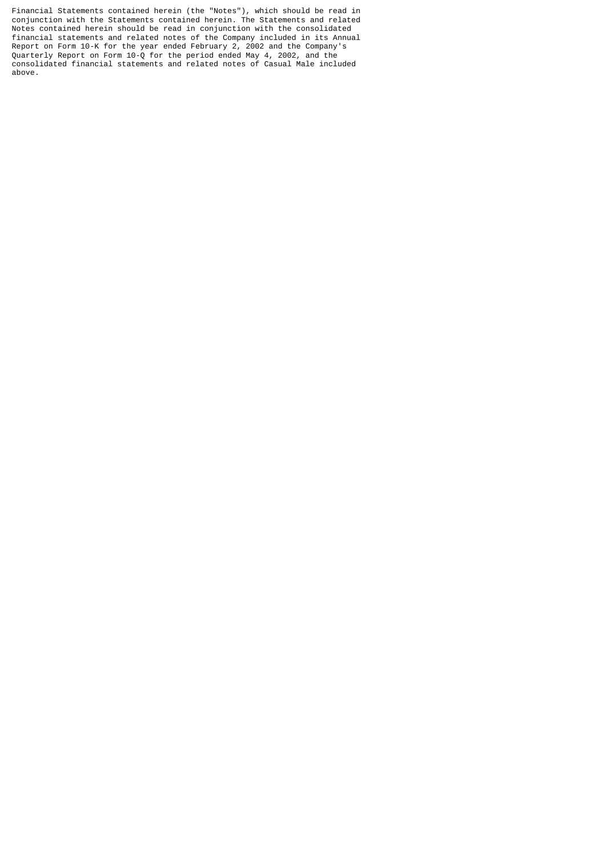Financial Statements contained herein (the "Notes"), which should be read in conjunction with the Statements contained herein. The Statements and related Notes contained herein should be read in conjunction with the consolidated financial statements and related notes of the Company included in its Annual Report on Form 10-K for the year ended February 2, 2002 and the Company's Quarterly Report on Form 10-Q for the period ended May 4, 2002, and the consolidated financial statements and related notes of Casual Male included above.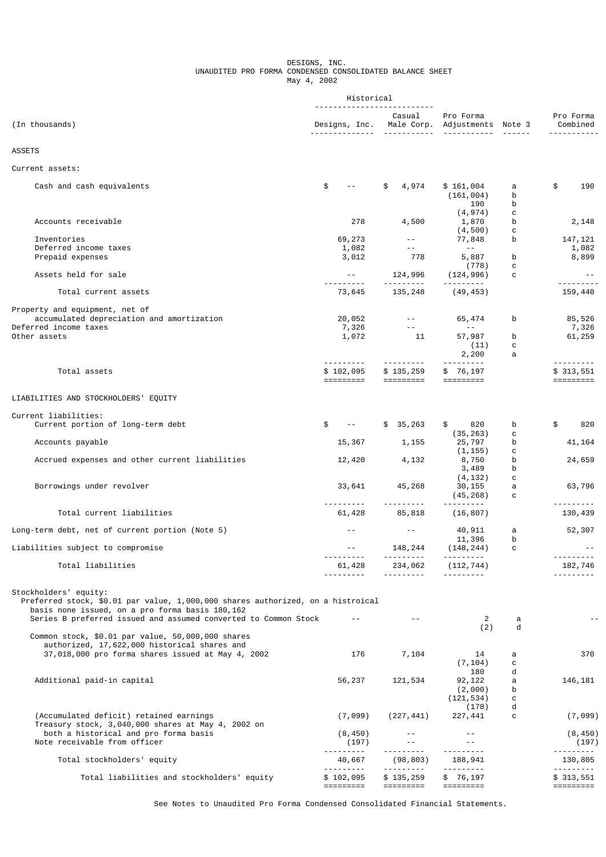### DESIGNS, INC. UNAUDITED PRO FORMA CONDENSED CONSOLIDATED BALANCE SHEET May 4, 2002

|                                                                                                                                                                                                                                                                                     | Historical                                                                     |                                                                                 |                                                                                                                                                                                                                                                                                                                                                                                                                                                                                                    |                   |                                                 |
|-------------------------------------------------------------------------------------------------------------------------------------------------------------------------------------------------------------------------------------------------------------------------------------|--------------------------------------------------------------------------------|---------------------------------------------------------------------------------|----------------------------------------------------------------------------------------------------------------------------------------------------------------------------------------------------------------------------------------------------------------------------------------------------------------------------------------------------------------------------------------------------------------------------------------------------------------------------------------------------|-------------------|-------------------------------------------------|
| (In thousands)                                                                                                                                                                                                                                                                      | Designs, Inc. Male Corp. Adjustments Note 3<br><u> - - - - - - - - - - - -</u> | Casual<br><u> - - - - - - - - - -</u>                                           | Pro Forma                                                                                                                                                                                                                                                                                                                                                                                                                                                                                          |                   | Pro Forma<br>Combined                           |
| <b>ASSETS</b>                                                                                                                                                                                                                                                                       |                                                                                |                                                                                 |                                                                                                                                                                                                                                                                                                                                                                                                                                                                                                    |                   |                                                 |
| Current assets:                                                                                                                                                                                                                                                                     |                                                                                |                                                                                 |                                                                                                                                                                                                                                                                                                                                                                                                                                                                                                    |                   |                                                 |
| Cash and cash equivalents                                                                                                                                                                                                                                                           | \$<br>$\sim$ $-$                                                               | \$<br>4,974                                                                     | \$161,004<br>(161, 004)<br>190                                                                                                                                                                                                                                                                                                                                                                                                                                                                     | а<br>b<br>b       | \$<br>190                                       |
| Accounts receivable                                                                                                                                                                                                                                                                 | 278                                                                            | 4,500                                                                           | (4, 974)<br>1,870<br>(4, 500)                                                                                                                                                                                                                                                                                                                                                                                                                                                                      | с<br>b<br>с       | 2,148                                           |
| Inventories<br>Deferred income taxes<br>Prepaid expenses                                                                                                                                                                                                                            | 69,273<br>1,082<br>3,012                                                       | $\sim$ $    -$<br>$\sim$ $ -$<br>778                                            | 77,848<br>$- -$<br>5,887                                                                                                                                                                                                                                                                                                                                                                                                                                                                           | b<br>b            | 147, 121<br>1,082<br>8,899                      |
| Assets held for sale                                                                                                                                                                                                                                                                | $\sim$ $\sim$ $ \sim$                                                          | 124,996                                                                         | (778)<br>(124, 996)                                                                                                                                                                                                                                                                                                                                                                                                                                                                                | с<br>с            |                                                 |
| Total current assets                                                                                                                                                                                                                                                                | 73,645                                                                         | 135,248                                                                         | .<br>(49, 453)                                                                                                                                                                                                                                                                                                                                                                                                                                                                                     |                   | 159,440                                         |
| Property and equipment, net of<br>accumulated depreciation and amortization<br>Deferred income taxes<br>Other assets                                                                                                                                                                | 20,052<br>7,326<br>1,072                                                       | $\mathcal{L}=\mathcal{L}(\mathcal{L}(\mathcal{L}))$ .<br>$\sim 10^{-1}$ .<br>11 | 65,474<br>$\sim$ $\sim$ $-$<br>57,987<br>(11)<br>2,200                                                                                                                                                                                                                                                                                                                                                                                                                                             | b<br>b<br>с<br>a  | 85,526<br>7,326<br>61,259                       |
| Total assets                                                                                                                                                                                                                                                                        | ----------<br>\$102,095<br>=========                                           | ---------<br>\$135,259                                                          | \$76, 197                                                                                                                                                                                                                                                                                                                                                                                                                                                                                          |                   | ---------<br>\$313,551<br>=========             |
| LIABILITIES AND STOCKHOLDERS' EQUITY                                                                                                                                                                                                                                                |                                                                                |                                                                                 |                                                                                                                                                                                                                                                                                                                                                                                                                                                                                                    |                   |                                                 |
| Current liabilities:<br>Current portion of long-term debt                                                                                                                                                                                                                           | \$<br>$\mathbf{z} = \mathbf{z} \times \mathbf{z}$ .                            | \$35,263                                                                        | \$<br>820                                                                                                                                                                                                                                                                                                                                                                                                                                                                                          | b                 | \$<br>820                                       |
| Accounts payable                                                                                                                                                                                                                                                                    | 15,367                                                                         | 1,155                                                                           | (35, 263)<br>25,797                                                                                                                                                                                                                                                                                                                                                                                                                                                                                | c<br>b            | 41, 164                                         |
| Accrued expenses and other current liabilities                                                                                                                                                                                                                                      | 12,420                                                                         | 4,132                                                                           | (1, 155)<br>8,750<br>3,489                                                                                                                                                                                                                                                                                                                                                                                                                                                                         | с<br>b<br>b       | 24,659                                          |
| Borrowings under revolver                                                                                                                                                                                                                                                           | 33,641                                                                         | 45,268                                                                          | (4, 132)<br>30,155<br>(45, 268)                                                                                                                                                                                                                                                                                                                                                                                                                                                                    | с<br>a<br>с       | 63,796                                          |
| Total current liabilities                                                                                                                                                                                                                                                           | . <u>.</u><br>61,428                                                           | <u>.</u><br>85,818                                                              | (16, 807)                                                                                                                                                                                                                                                                                                                                                                                                                                                                                          |                   | <u>.</u><br>130,439                             |
| Long-term debt, net of current portion (Note 5)                                                                                                                                                                                                                                     | $- -$                                                                          | $\sim$ $-$                                                                      | 40,911<br>11,396                                                                                                                                                                                                                                                                                                                                                                                                                                                                                   | a                 | 52,307                                          |
| Liabilities subject to compromise                                                                                                                                                                                                                                                   | $- -$<br>---------                                                             | 148,244                                                                         | (148, 244)<br>---------                                                                                                                                                                                                                                                                                                                                                                                                                                                                            | b<br>$\mathbf{C}$ | ---------                                       |
| Total liabilities                                                                                                                                                                                                                                                                   | 61,428<br>.                                                                    | 234,062<br><u>.</u>                                                             | (112, 744)<br>.                                                                                                                                                                                                                                                                                                                                                                                                                                                                                    |                   | 182,746<br>---------                            |
| Stockholders' equity:<br>Preferred stock, \$0.01 par value, 1,000,000 shares authorized, on a histroical<br>basis none issued, on a pro forma basis 180,162<br>Series B preferred issued and assumed converted to Common Stock<br>Common stock, \$0.01 par value, 50,000,000 shares | $- -$                                                                          | $\sim$ $-$                                                                      | 2<br>(2)                                                                                                                                                                                                                                                                                                                                                                                                                                                                                           | a<br>d            |                                                 |
| authorized, 17,622,000 historical shares and<br>37,018,000 pro forma shares issued at May 4, 2002                                                                                                                                                                                   | 176                                                                            | 7,104                                                                           | 14<br>(7, 104)                                                                                                                                                                                                                                                                                                                                                                                                                                                                                     | a<br>с            | 370                                             |
| Additional paid-in capital                                                                                                                                                                                                                                                          | 56,237                                                                         | 121,534                                                                         | 180<br>92, 122<br>(2,000)<br>(121, 534)                                                                                                                                                                                                                                                                                                                                                                                                                                                            | d<br>a<br>b<br>с  | 146,181                                         |
| (Accumulated deficit) retained earnings<br>Treasury stock, 3,040,000 shares at May 4, 2002 on                                                                                                                                                                                       | (7,099)                                                                        | (227, 441)                                                                      | (178)<br>227,441                                                                                                                                                                                                                                                                                                                                                                                                                                                                                   | d<br>c            | (7,099)                                         |
| both a historical and pro forma basis<br>Note receivable from officer                                                                                                                                                                                                               | (8, 450)<br>(197)                                                              | $  \,$<br>$\sim$ $-$                                                            | $- -$<br>$- -$<br><u> - - - - - - - -</u>                                                                                                                                                                                                                                                                                                                                                                                                                                                          |                   | (8, 450)<br>(197)                               |
| Total stockholders' equity                                                                                                                                                                                                                                                          | <u>.</u><br>40,667                                                             | .<br>(98, 803)<br><u>.</u> .                                                    | 188,941                                                                                                                                                                                                                                                                                                                                                                                                                                                                                            |                   | ---------<br>130,805<br><u> - - - - - - - -</u> |
| Total liabilities and stockholders' equity                                                                                                                                                                                                                                          | \$102,095<br>=========                                                         | \$135,259                                                                       | \$76,197<br>$\begin{array}{cccccccccc} \multicolumn{2}{c}{} & \multicolumn{2}{c}{} & \multicolumn{2}{c}{} & \multicolumn{2}{c}{} & \multicolumn{2}{c}{} & \multicolumn{2}{c}{} & \multicolumn{2}{c}{} & \multicolumn{2}{c}{} & \multicolumn{2}{c}{} & \multicolumn{2}{c}{} & \multicolumn{2}{c}{} & \multicolumn{2}{c}{} & \multicolumn{2}{c}{} & \multicolumn{2}{c}{} & \multicolumn{2}{c}{} & \multicolumn{2}{c}{} & \multicolumn{2}{c}{} & \multicolumn{2}{c}{} & \multicolumn{2}{c}{} & \mult$ |                   | \$313,551<br>=========                          |

See Notes to Unaudited Pro Forma Condensed Consolidated Financial Statements.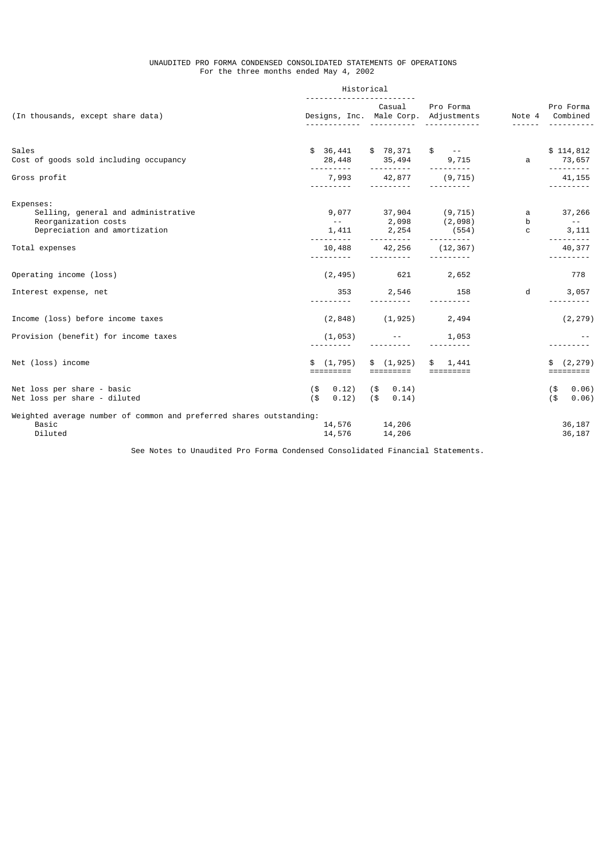### UNAUDITED PRO FORMA CONDENSED CONSOLIDATED STATEMENTS OF OPERATIONS For the three months ended May 4, 2002

|                                                                                         | Casual                       | Pro Forma                          |                                                                                                                    | Pro Forma<br>Note 4 Combined    |
|-----------------------------------------------------------------------------------------|------------------------------|------------------------------------|--------------------------------------------------------------------------------------------------------------------|---------------------------------|
| \$36,441                                                                                |                              | $$ - -$                            |                                                                                                                    | \$114,812                       |
| 28,448                                                                                  | 35,494                       | 9,715                              | a                                                                                                                  | 73,657<br><u>.</u>              |
| 7,993                                                                                   | 42,877                       | (9, 715)                           |                                                                                                                    | 41, 155                         |
|                                                                                         |                              |                                    |                                                                                                                    |                                 |
| $\sim$ $\sim$ $-$                                                                       |                              |                                    | h                                                                                                                  | 37,266<br>$\sim$ $ -$           |
| 1,411                                                                                   | 2,254                        | (554)                              | C                                                                                                                  | 3,111                           |
| 10,488                                                                                  | 42,256                       | (12, 367)                          |                                                                                                                    | --------<br>40,377              |
| (2, 495)                                                                                | 621                          | 2,652                              |                                                                                                                    | 778                             |
| 353                                                                                     | 2,546                        | 158                                | d                                                                                                                  | 3,057                           |
| (2, 848)                                                                                | (1, 925)                     | 2,494                              |                                                                                                                    | (2, 279)                        |
| (1, 053)                                                                                |                              | 1,053                              |                                                                                                                    |                                 |
| \$ (1, 795)<br>=========                                                                | \$(1, 925)<br>=========      | 1,441<br>\$<br>=========           |                                                                                                                    | (2, 279)<br>=========           |
| 0.12)<br>$($ \$<br>$($ \$<br>0.12)                                                      | $($ \$ 0.14)<br>$($ \$ 0.14) |                                    |                                                                                                                    | 0.06)<br>(\$<br>$($ \$<br>0.06) |
| Weighted average number of common and preferred shares outstanding:<br>14,576<br>14,576 | 14,206                       |                                    |                                                                                                                    | 36,187<br>36,187                |
|                                                                                         |                              | Historical<br>2,098<br>.<br>14,206 | Designs, Inc. Male Corp. Adjustments<br>\$78,371<br><u> - - - - - - - - -</u><br>$9,077$ 37,904 (9,715)<br>(2,098) | a                               |

See Notes to Unaudited Pro Forma Condensed Consolidated Financial Statements.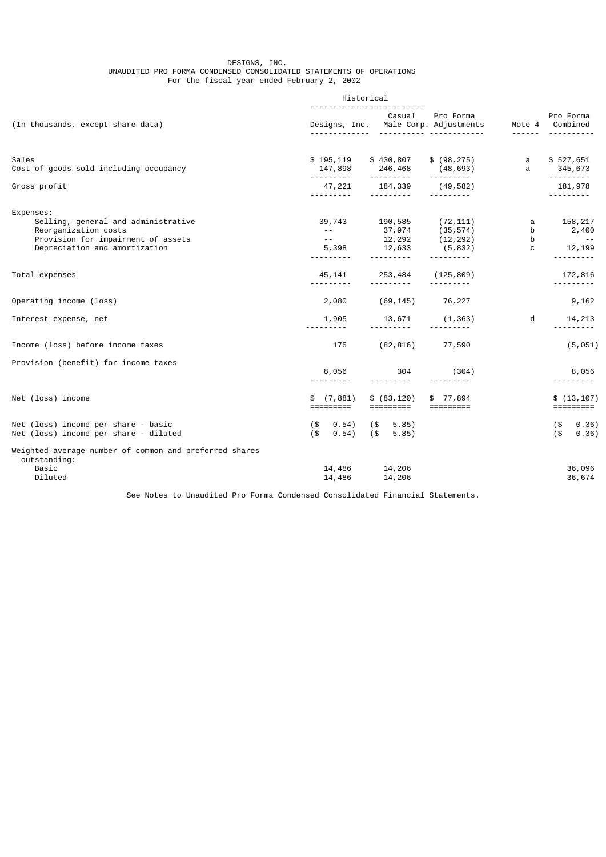### DESIGNS, INC. UNAUDITED PRO FORMA CONDENSED CONSOLIDATED STATEMENTS OF OPERATIONS For the fiscal year ended February 2, 2002

|                                                                                                                                                 | Historical                                                     |                                                |                                                 |                             |                                 |
|-------------------------------------------------------------------------------------------------------------------------------------------------|----------------------------------------------------------------|------------------------------------------------|-------------------------------------------------|-----------------------------|---------------------------------|
| (In thousands, except share data)                                                                                                               |                                                                | Casual<br>Designs, Inc. Male Corp. Adjustments | Pro Forma                                       |                             | Pro Forma<br>Note 4 Combined    |
| Sales                                                                                                                                           | \$195,119                                                      | \$430,807                                      | \$ (98, 275)                                    | a                           | \$527,651                       |
| Cost of goods sold including occupancy                                                                                                          | 147,898<br><u>.</u>                                            | 246,468<br><u>.</u>                            | (48, 693)<br><u> - - - - - - - - -</u>          | a                           | 345,673                         |
| Gross profit                                                                                                                                    | 47,221<br>----------                                           | 184,339                                        | (49,582)                                        |                             | 181,978<br>- - - - - - - - -    |
| Expenses:<br>Selling, general and administrative<br>Reorganization costs<br>Provision for impairment of assets<br>Depreciation and amortization | 39,743<br>$\sim$ $\sim$ $\sim$<br>$\sim$ $    -$<br>5,398<br>. | 190,585<br>37,974<br>12,292<br>12,633          | (72, 111)<br>(35, 574)<br>(12, 292)<br>(5, 832) | a<br>b<br>b<br>$\mathbf{C}$ | 158,217<br>2,400<br>12,199<br>. |
| Total expenses                                                                                                                                  | 45,141<br><u>.</u>                                             | 253,484<br><u>.</u>                            | (125, 809)<br><u>.</u>                          |                             | 172,816<br><u>.</u>             |
| Operating income (loss)                                                                                                                         | 2,080                                                          | (69, 145)                                      | 76,227                                          |                             | 9,162                           |
| Interest expense, net                                                                                                                           | 1,905<br>----------                                            | 13,671                                         | (1, 363)                                        | d                           | 14,213                          |
| Income (loss) before income taxes                                                                                                               | 175                                                            | (82, 816)                                      | 77,590                                          |                             | (5, 051)                        |
| Provision (benefit) for income taxes                                                                                                            | 8,056                                                          | 304                                            | (304)                                           |                             | 8,056<br>---------              |
| Net (loss) income                                                                                                                               | (7, 881)<br>\$.<br>=========                                   | \$ (83, 120)<br>=========                      | \$77,894<br>$=$ =========                       |                             | \$(13, 107)<br>=========        |
| Net (loss) income per share - basic<br>Net (loss) income per share - diluted                                                                    | 0.54)<br>(\$<br>$($ \$<br>0.54)                                | $(\$$ 5.85)<br>(\$<br>5.85)                    |                                                 |                             | 0.36)<br>(\$<br>$($ \$<br>0.36) |
| Weighted average number of common and preferred shares<br>outstanding:<br>Basic<br>Diluted                                                      | 14,486                                                         | 14,486 14,206<br>14,206                        |                                                 |                             | 36,096<br>36,674                |

See Notes to Unaudited Pro Forma Condensed Consolidated Financial Statements.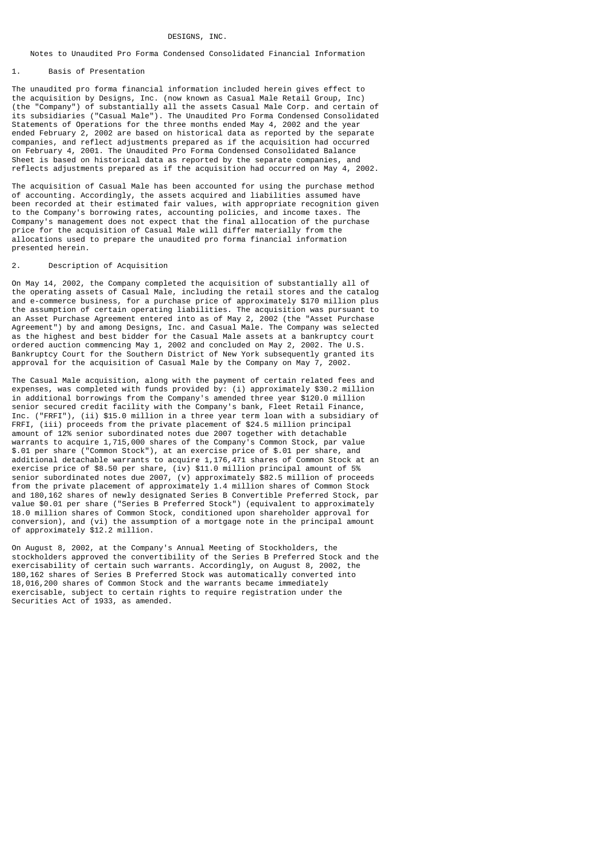#### DESIGNS, INC.

## Notes to Unaudited Pro Forma Condensed Consolidated Financial Information

### 1. Basis of Presentation

The unaudited pro forma financial information included herein gives effect to the acquisition by Designs, Inc. (now known as Casual Male Retail Group, Inc) (the "Company") of substantially all the assets Casual Male Corp. and certain of its subsidiaries ("Casual Male"). The Unaudited Pro Forma Condensed Consolidated Statements of Operations for the three months ended May 4, 2002 and the year ended February 2, 2002 are based on historical data as reported by the separate companies, and reflect adjustments prepared as if the acquisition had occurred on February 4, 2001. The Unaudited Pro Forma Condensed Consolidated Balance Sheet is based on historical data as reported by the separate companies, and reflects adjustments prepared as if the acquisition had occurred on May 4, 2002.

The acquisition of Casual Male has been accounted for using the purchase method of accounting. Accordingly, the assets acquired and liabilities assumed have been recorded at their estimated fair values, with appropriate recognition given to the Company's borrowing rates, accounting policies, and income taxes. The Company's management does not expect that the final allocation of the purchase price for the acquisition of Casual Male will differ materially from the allocations used to prepare the unaudited pro forma financial information presented herein.

#### Description of Acquisition

On May 14, 2002, the Company completed the acquisition of substantially all of the operating assets of Casual Male, including the retail stores and the catalog and e-commerce business, for a purchase price of approximately \$170 million plus the assumption of certain operating liabilities. The acquisition was pursuant to an Asset Purchase Agreement entered into as of May 2, 2002 (the "Asset Purchase Agreement") by and among Designs, Inc. and Casual Male. The Company was selected as the highest and best bidder for the Casual Male assets at a bankruptcy court ordered auction commencing May 1, 2002 and concluded on May 2, 2002. The U.S. Bankruptcy Court for the Southern District of New York subsequently granted its approval for the acquisition of Casual Male by the Company on May 7, 2002.

The Casual Male acquisition, along with the payment of certain related fees and expenses, was completed with funds provided by: (i) approximately \$30.2 million in additional borrowings from the Company's amended three year \$120.0 million senior secured credit facility with the Company's bank, Fleet Retail Finance, Inc. ("FRFI"), (ii) \$15.0 million in a three year term loan with a subsidiary of FRFI, (iii) proceeds from the private placement of \$24.5 million principal amount of 12% senior subordinated notes due 2007 together with detachable warrants to acquire 1,715,000 shares of the Company's Common Stock, par value \$.01 per share ("Common Stock"), at an exercise price of \$.01 per share, and additional detachable warrants to acquire 1,176,471 shares of Common Stock at an exercise price of \$8.50 per share, (iv) \$11.0 million principal amount of 5% senior subordinated notes due 2007, (v) approximately \$82.5 million of proceeds from the private placement of approximately 1.4 million shares of Common Stock and 180,162 shares of newly designated Series B Convertible Preferred Stock, par value \$0.01 per share ("Series B Preferred Stock") (equivalent to approximately 18.0 million shares of Common Stock, conditioned upon shareholder approval for conversion), and (vi) the assumption of a mortgage note in the principal amount of approximately \$12.2 million.

On August 8, 2002, at the Company's Annual Meeting of Stockholders, the stockholders approved the convertibility of the Series B Preferred Stock and the exercisability of certain such warrants. Accordingly, on August 8, 2002, the 180,162 shares of Series B Preferred Stock was automatically converted into 18,016,200 shares of Common Stock and the warrants became immediately exercisable, subject to certain rights to require registration under the Securities Act of 1933, as amended.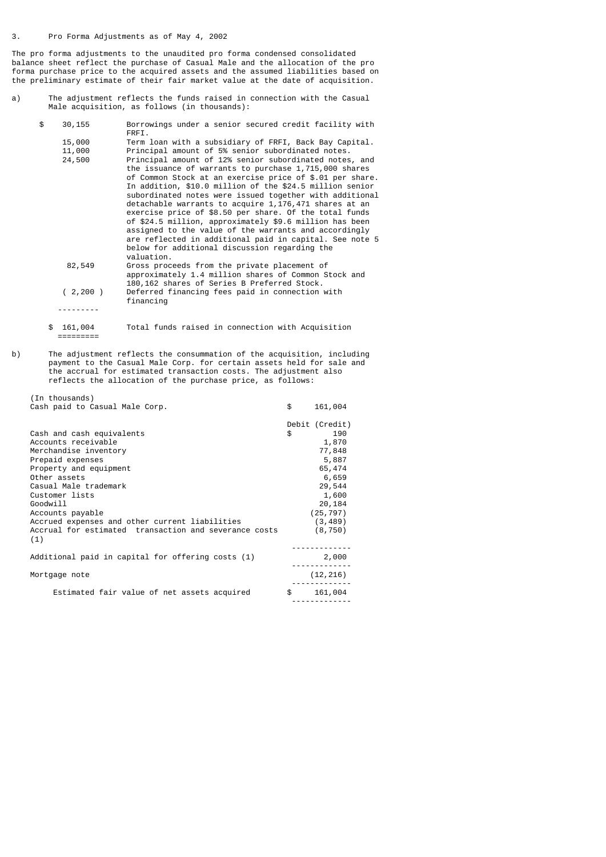(In thousands)

The pro forma adjustments to the unaudited pro forma condensed consolidated balance sheet reflect the purchase of Casual Male and the allocation of the pro forma purchase price to the acquired assets and the assumed liabilities based on the preliminary estimate of their fair market value at the date of acquisition.

a) The adjustment reflects the funds raised in connection with the Casual Male acquisition, as follows (in thousands):

| \$ | 30,155   | Borrowings under a senior secured credit facility with<br>FRFI.                                                  |
|----|----------|------------------------------------------------------------------------------------------------------------------|
|    | 15,000   | Term loan with a subsidiary of FRFI, Back Bay Capital.                                                           |
|    | 11,000   | Principal amount of 5% senior subordinated notes.                                                                |
|    | 24,500   | Principal amount of 12% senior subordinated notes, and                                                           |
|    |          | the issuance of warrants to purchase 1,715,000 shares                                                            |
|    |          | of Common Stock at an exercise price of \$.01 per share.                                                         |
|    |          | In addition, \$10.0 million of the \$24.5 million senior                                                         |
|    |          | subordinated notes were issued together with additional                                                          |
|    |          | detachable warrants to acquire 1,176,471 shares at an                                                            |
|    |          | exercise price of \$8.50 per share. Of the total funds                                                           |
|    |          | of \$24.5 million, approximately \$9.6 million has been                                                          |
|    |          | assigned to the value of the warrants and accordingly<br>are reflected in additional paid in capital. See note 5 |
|    |          | below for additional discussion regarding the                                                                    |
|    |          | valuation.                                                                                                       |
|    | 82,549   | Gross proceeds from the private placement of                                                                     |
|    |          | approximately 1.4 million shares of Common Stock and                                                             |
|    |          | 180,162 shares of Series B Preferred Stock.                                                                      |
|    | (2, 200) | Deferred financing fees paid in connection with                                                                  |
|    |          | financing                                                                                                        |
|    |          |                                                                                                                  |
|    |          |                                                                                                                  |

 \$ 161,004 Total funds raised in connection with Acquisition =========

b) The adjustment reflects the consummation of the acquisition, including payment to the Casual Male Corp. for certain assets held for sale and the accrual for estimated transaction costs. The adjustment also reflects the allocation of the purchase price, as follows:

| Cash paid to Casual Male Corp.                               | \$<br>161,004  |
|--------------------------------------------------------------|----------------|
|                                                              | Debit (Credit) |
| Cash and cash equivalents                                    | \$<br>190      |
| Accounts receivable                                          | 1,870          |
| Merchandise inventory                                        | 77,848         |
| Prepaid expenses                                             | 5,887          |
| Property and equipment                                       | 65,474         |
| Other assets                                                 | 6,659          |
| Casual Male trademark                                        | 29,544         |
| Customer lists                                               | 1,600          |
| Goodwill                                                     | 20,184         |
| Accounts payable                                             | (25, 797)      |
| Accrued expenses and other current liabilities               | (3, 489)       |
| Accrual for estimated transaction and severance costs<br>(1) | (8, 750)       |
|                                                              |                |
| Additional paid in capital for offering costs (1)            | 2,000          |
| Mortgage note                                                | (12, 216)      |
| Estimated fair value of net assets acquired                  | \$<br>161,004  |
|                                                              |                |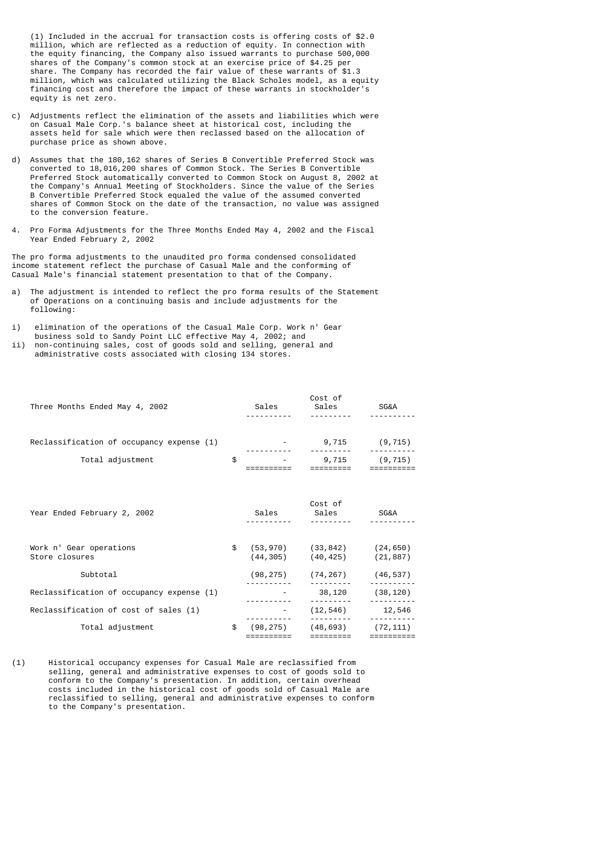(1) Included in the accrual for transaction costs is offering costs of \$2.0 million, which are reflected as a reduction of equity. In connection with the equity financing, the Company also issued warrants to purchase 500,000 shares of the Company's common stock at an exercise price of \$4.25 per share. The Company has recorded the fair value of these warrants of \$1.3 million, which was calculated utilizing the Black Scholes model, as a equity financing cost and therefore the impact of these warrants in stockholder's equity is net zero.

- c) Adjustments reflect the elimination of the assets and liabilities which were on Casual Male Corp.'s balance sheet at historical cost, including the assets held for sale which were then reclassed based on the allocation of purchase price as shown above.
- d) Assumes that the 180,162 shares of Series B Convertible Preferred Stock was converted to 18,016,200 shares of Common Stock. The Series B Convertible Preferred Stock automatically converted to Common Stock on August 8, 2002 at the Company's Annual Meeting of Stockholders. Since the value of the Series B Convertible Preferred Stock equaled the value of the assumed converted shares of Common Stock on the date of the transaction, no value was assigned to the conversion feature.
- 4. Pro Forma Adjustments for the Three Months Ended May 4, 2002 and the Fiscal Year Ended February 2, 2002

The pro forma adjustments to the unaudited pro forma condensed consolidated income statement reflect the purchase of Casual Male and the conforming of Casual Male's financial statement presentation to that of the Company.

- a) The adjustment is intended to reflect the pro forma results of the Statement of Operations on a continuing basis and include adjustments for the following:
- i) elimination of the operations of the Casual Male Corp. Work n' Gear business sold to Sandy Point LLC effective May 4, 2002; and
- ii) non-continuing sales, cost of goods sold and selling, general and administrative costs associated with closing 134 stores.

| Three Months Ended May 4, 2002                                |    | Cost of<br>Sales Sales SG&A                                               |                    |
|---------------------------------------------------------------|----|---------------------------------------------------------------------------|--------------------|
| Reclassification of occupancy expense (1)<br>Total adjustment | \$ | $-9,715$ (9,715)<br>$-9,715$ (9,715)                                      |                    |
| Year Ended February 2, 2002                                   |    | Cost of                                                                   | <b>SG&amp;A</b>    |
| Work n' Gear operations<br>Store closures                     |    | $$ (53,970)$ $(33,842)$ $(24,650)$<br>$(44, 305)$ $(40, 425)$ $(21, 887)$ |                    |
| Subtotal                                                      |    | $(98, 275)$ $(74, 267)$ $(46, 537)$                                       |                    |
| Reclassification of occupancy expense (1)                     |    | 38,120 (38,120)                                                           |                    |
| Reclassification of cost of sales (1)                         |    |                                                                           | $(12, 546)$ 12,546 |
| Total adjustment                                              | \$ | $(98, 275)$ $(48, 693)$ $(72, 111)$<br>$=$ = = = = = = = =                |                    |

(1) Historical occupancy expenses for Casual Male are reclassified from selling, general and administrative expenses to cost of goods sold to conform to the Company's presentation. In addition, certain overhead costs included in the historical cost of goods sold of Casual Male are reclassified to selling, general and administrative expenses to conform to the Company's presentation.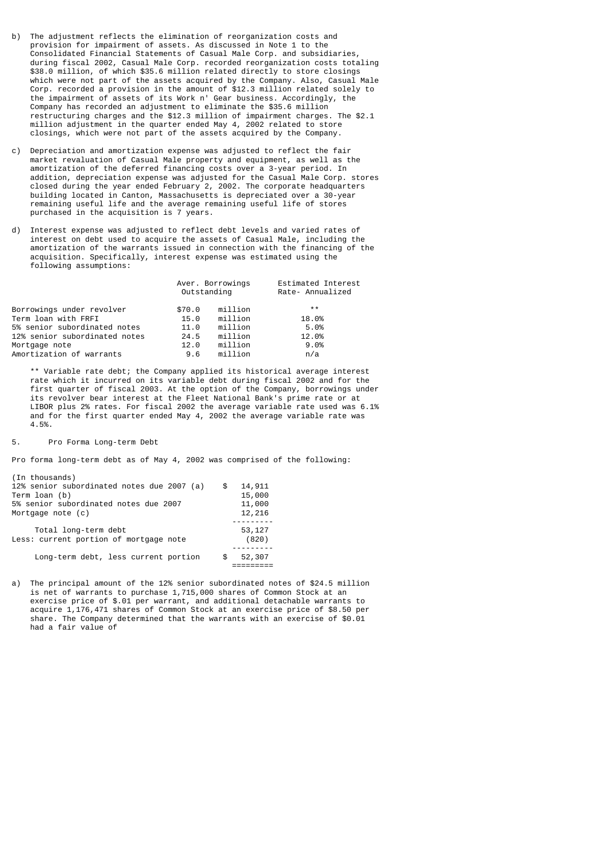- b) The adjustment reflects the elimination of reorganization costs and provision for impairment of assets. As discussed in Note 1 to the Consolidated Financial Statements of Casual Male Corp. and subsidiaries, during fiscal 2002, Casual Male Corp. recorded reorganization costs totaling \$38.0 million, of which \$35.6 million related directly to store closings which were not part of the assets acquired by the Company. Also, Casual Male Corp. recorded a provision in the amount of \$12.3 million related solely to the impairment of assets of its Work n' Gear business. Accordingly, the Company has recorded an adjustment to eliminate the \$35.6 million restructuring charges and the \$12.3 million of impairment charges. The \$2.1 million adjustment in the quarter ended May 4, 2002 related to store closings, which were not part of the assets acquired by the Company.
- c) Depreciation and amortization expense was adjusted to reflect the fair market revaluation of Casual Male property and equipment, as well as the amortization of the deferred financing costs over a 3-year period. In addition, depreciation expense was adjusted for the Casual Male Corp. stores closed during the year ended February 2, 2002. The corporate headquarters building located in Canton, Massachusetts is depreciated over a 30-year remaining useful life and the average remaining useful life of stores purchased in the acquisition is 7 years.
- d) Interest expense was adjusted to reflect debt levels and varied rates of interest on debt used to acquire the assets of Casual Male, including the amortization of the warrants issued in connection with the financing of the acquisition. Specifically, interest expense was estimated using the following assumptions:

|                               | Outstanding | Aver. Borrowings | Estimated Interest<br>Rate- Annualized |
|-------------------------------|-------------|------------------|----------------------------------------|
| Borrowings under revolver     | \$70.0      | million          | $***$                                  |
| Term loan with FRFI           | 15.0        | million          | 18.0%                                  |
| 5% senior subordinated notes  | 11.0        | million          | 5.0%                                   |
| 12% senior subordinated notes | 24.5        | million          | 12.0%                                  |
| Mortgage note                 | 12.0        | million          | 9.0%                                   |
| Amortization of warrants      | 9.6         | million          | n/a                                    |

 \*\* Variable rate debt; the Company applied its historical average interest rate which it incurred on its variable debt during fiscal 2002 and for the first quarter of fiscal 2003. At the option of the Company, borrowings under its revolver bear interest at the Fleet National Bank's prime rate or at LIBOR plus 2% rates. For fiscal 2002 the average variable rate used was 6.1% and for the first quarter ended May 4, 2002 the average variable rate was 4.5%.

5. Pro Forma Long-term Debt

Pro forma long-term debt as of May 4, 2002 was comprised of the following:

| (In thousands)                             |              |
|--------------------------------------------|--------------|
| 12% senior subordinated notes due 2007 (a) | \$<br>14,911 |
| Term loan (b)                              | 15,000       |
| 5% senior subordinated notes due 2007      | 11,000       |
| Mortgage note (c)                          | 12,216       |
|                                            |              |
| Total long-term debt                       | 53, 127      |
| Less: current portion of mortgage note     | (820)        |
|                                            |              |
| Long-term debt, less current portion       | 52,307       |
|                                            |              |
|                                            |              |

a) The principal amount of the 12% senior subordinated notes of \$24.5 million is net of warrants to purchase 1,715,000 shares of Common Stock at an exercise price of \$.01 per warrant, and additional detachable warrants to acquire 1,176,471 shares of Common Stock at an exercise price of \$8.50 per share. The Company determined that the warrants with an exercise of \$0.01 had a fair value of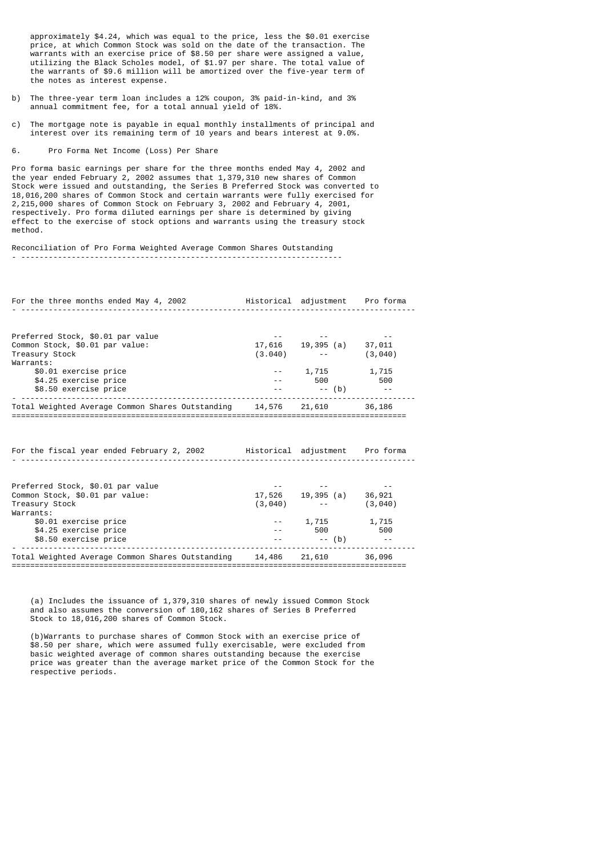approximately \$4.24, which was equal to the price, less the \$0.01 exercise price, at which Common Stock was sold on the date of the transaction. The warrants with an exercise price of \$8.50 per share were assigned a value, utilizing the Black Scholes model, of \$1.97 per share. The total value of the warrants of \$9.6 million will be amortized over the five-year term of the notes as interest expense.

- b) The three-year term loan includes a 12% coupon, 3% paid-in-kind, and 3% annual commitment fee, for a total annual yield of 18%.
- c) The mortgage note is payable in equal monthly installments of principal and interest over its remaining term of 10 years and bears interest at 9.0%.
- 6. Pro Forma Net Income (Loss) Per Share

Pro forma basic earnings per share for the three months ended May 4, 2002 and the year ended February 2, 2002 assumes that 1,379,310 new shares of Common Stock were issued and outstanding, the Series B Preferred Stock was converted to 18,016,200 shares of Common Stock and certain warrants were fully exercised for 2,215,000 shares of Common Stock on February 3, 2002 and February 4, 2001, respectively. Pro forma diluted earnings per share is determined by giving effect to the exercise of stock options and warrants using the treasury stock method.

Reconciliation of Pro Forma Weighted Average Common Shares Outstanding

| For the three months ended May 4, 2002 Tistorical adjustment Pro forma     |                                                  |                             |
|----------------------------------------------------------------------------|--------------------------------------------------|-----------------------------|
|                                                                            |                                                  |                             |
| Preferred Stock, \$0.01 par value                                          |                                                  |                             |
| Common Stock, \$0.01 par value:                                            | $17,616$ 19,395 (a) 37,011<br>(3.040) -- (3,040) |                             |
| Treasury Stock                                                             |                                                  | (3,040)                     |
| Warrants:                                                                  |                                                  |                             |
| \$0.01 exercise price                                                      | $-2$ , $715$ $1,715$                             |                             |
| \$4.25 exercise price                                                      | $- -$ 500 500                                    |                             |
| \$8.50 exercise price<br>------------------                                | $--$ (b)                                         |                             |
| Total Weighted Average Common Shares Outstanding 14,576 21,610 36,186      |                                                  |                             |
|                                                                            |                                                  |                             |
|                                                                            |                                                  |                             |
|                                                                            |                                                  |                             |
| For the fiscal year ended February 2, 2002 Historical adjustment Pro forma |                                                  |                             |
|                                                                            |                                                  |                             |
| Preferred Stock, \$0.01 par value                                          |                                                  |                             |
| Common Stock, \$0.01 par value:                                            | 17,526  19,395 (a)  36,921                       |                             |
| Treasury Stock                                                             | $(3,040)$ --                                     | (3,040)                     |
| Warrants:                                                                  |                                                  |                             |
| \$0.01 exercise price                                                      | $-2$ , 1, 715 $1,715$                            |                             |
| \$4.25 exercise price                                                      | 500 100                                          | 500                         |
| \$8.50 exercise price                                                      | $- --$ (b)                                       | $\sim$ $\sim$ $\sim$ $\sim$ |
| Total Weighted Average Common Shares Outstanding 14,486 21,610             |                                                  | 36,096                      |

 (a) Includes the issuance of 1,379,310 shares of newly issued Common Stock and also assumes the conversion of 180,162 shares of Series B Preferred Stock to 18,016,200 shares of Common Stock.

======================================================================================

 (b)Warrants to purchase shares of Common Stock with an exercise price of \$8.50 per share, which were assumed fully exercisable, were excluded from basic weighted average of common shares outstanding because the exercise price was greater than the average market price of the Common Stock for the respective periods.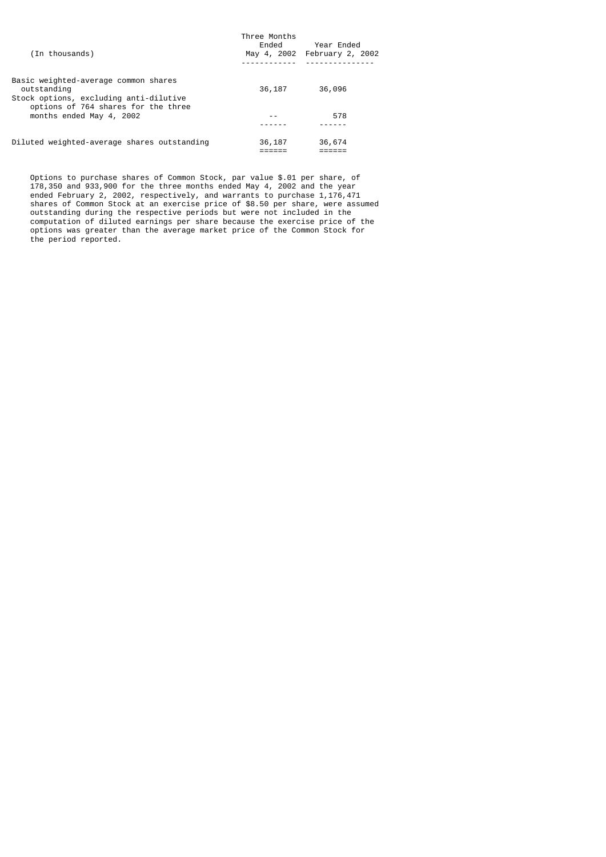| (In thousands)                                                                                                                       | Three Months<br>Ended | Year Ended<br>May 4, 2002 February 2, 2002 |
|--------------------------------------------------------------------------------------------------------------------------------------|-----------------------|--------------------------------------------|
| Basic weighted-average common shares<br>outstanding<br>Stock options, excluding anti-dilutive<br>options of 764 shares for the three | 36,187                | 36,096                                     |
| months ended May 4, 2002                                                                                                             |                       | 578                                        |
|                                                                                                                                      |                       |                                            |
| Diluted weighted-average shares outstanding                                                                                          | 36,187                | 36,674                                     |

 Options to purchase shares of Common Stock, par value \$.01 per share, of 178,350 and 933,900 for the three months ended May 4, 2002 and the year ended February 2, 2002, respectively, and warrants to purchase 1,176,471 shares of Common Stock at an exercise price of \$8.50 per share, were assumed outstanding during the respective periods but were not included in the computation of diluted earnings per share because the exercise price of the options was greater than the average market price of the Common Stock for the period reported.